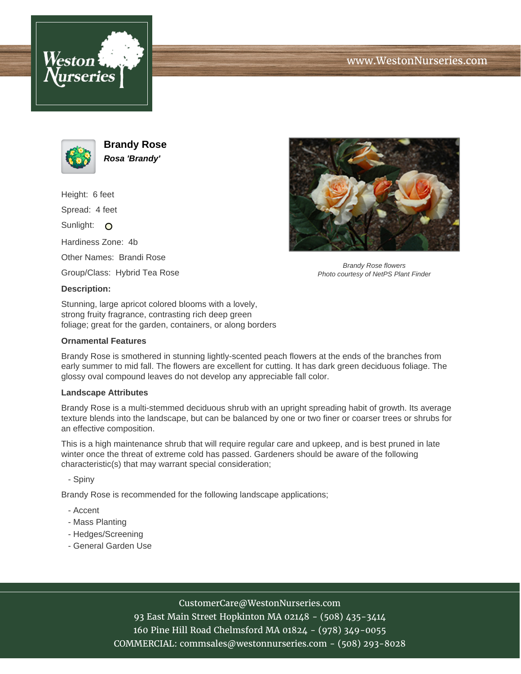



**Brandy Rose Rosa 'Brandy'**

Height: 6 feet Spread: 4 feet Sunlight: O Hardiness Zone: 4b Other Names: Brandi Rose Group/Class: Hybrid Tea Rose **Description:**



Brandy Rose flowers Photo courtesy of NetPS Plant Finder

Stunning, large apricot colored blooms with a lovely, strong fruity fragrance, contrasting rich deep green foliage; great for the garden, containers, or along borders

## **Ornamental Features**

Brandy Rose is smothered in stunning lightly-scented peach flowers at the ends of the branches from early summer to mid fall. The flowers are excellent for cutting. It has dark green deciduous foliage. The glossy oval compound leaves do not develop any appreciable fall color.

## **Landscape Attributes**

Brandy Rose is a multi-stemmed deciduous shrub with an upright spreading habit of growth. Its average texture blends into the landscape, but can be balanced by one or two finer or coarser trees or shrubs for an effective composition.

This is a high maintenance shrub that will require regular care and upkeep, and is best pruned in late winter once the threat of extreme cold has passed. Gardeners should be aware of the following characteristic(s) that may warrant special consideration;

- Spiny

Brandy Rose is recommended for the following landscape applications;

- Accent
- Mass Planting
- Hedges/Screening
- General Garden Use

## CustomerCare@WestonNurseries.com

93 East Main Street Hopkinton MA 02148 - (508) 435-3414 160 Pine Hill Road Chelmsford MA 01824 - (978) 349-0055 COMMERCIAL: commsales@westonnurseries.com - (508) 293-8028